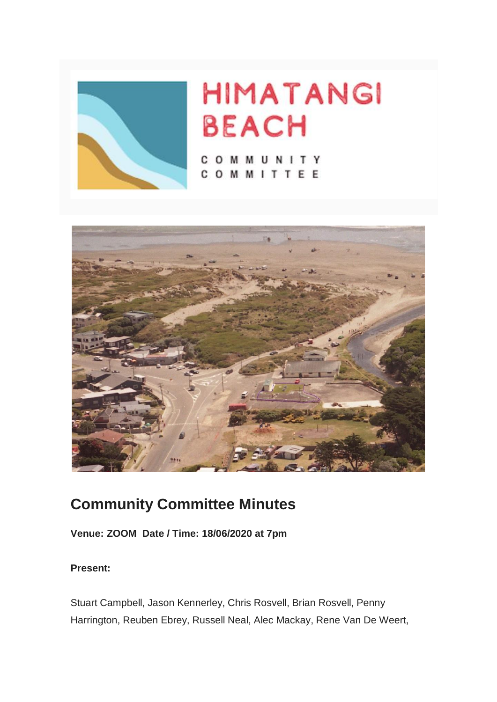

# **HIMATANGI BEACH**

COMMUNITY COMMITTEE



## **Community Committee Minutes**

**Venue: ZOOM Date / Time: 18/06/2020 at 7pm**

#### **Present:**

Stuart Campbell, Jason Kennerley, Chris Rosvell, Brian Rosvell, Penny Harrington, Reuben Ebrey, Russell Neal, Alec Mackay, Rene Van De Weert,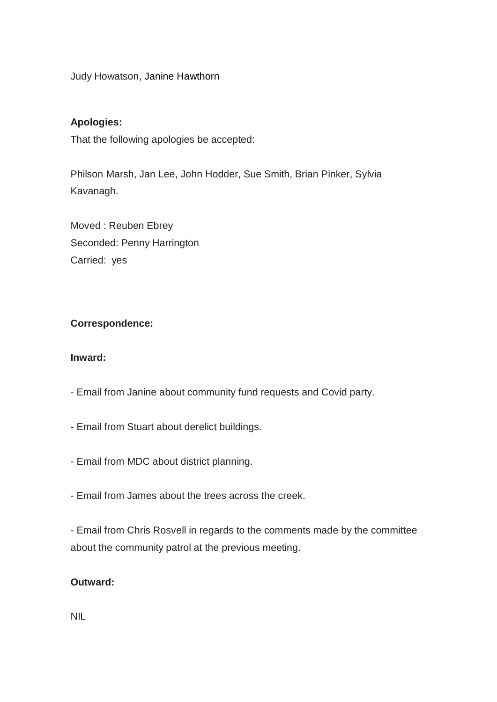Judy Howatson, Janine Hawthorn

#### **Apologies:**

That the following apologies be accepted:

Philson Marsh, Jan Lee, John Hodder, Sue Smith, Brian Pinker, Sylvia Kavanagh.

Moved : Reuben Ebrey Seconded: Penny Harrington Carried: yes

#### **Correspondence:**

#### **Inward:**

- Email from Janine about community fund requests and Covid party.
- Email from Stuart about derelict buildings.
- Email from MDC about district planning.
- Email from James about the trees across the creek.

- Email from Chris Rosvell in regards to the comments made by the committee about the community patrol at the previous meeting.

#### **Outward:**

NIL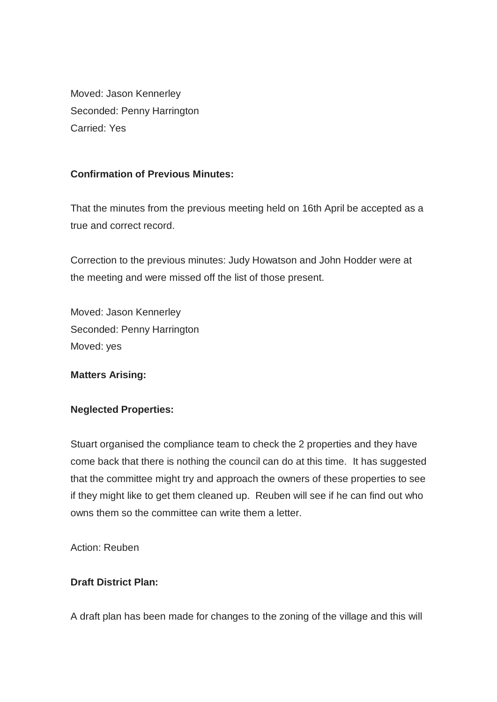Moved: Jason Kennerley Seconded: Penny Harrington Carried: Yes

#### **Confirmation of Previous Minutes:**

That the minutes from the previous meeting held on 16th April be accepted as a true and correct record.

Correction to the previous minutes: Judy Howatson and John Hodder were at the meeting and were missed off the list of those present.

Moved: Jason Kennerley Seconded: Penny Harrington Moved: yes

#### **Matters Arising:**

#### **Neglected Properties:**

Stuart organised the compliance team to check the 2 properties and they have come back that there is nothing the council can do at this time. It has suggested that the committee might try and approach the owners of these properties to see if they might like to get them cleaned up. Reuben will see if he can find out who owns them so the committee can write them a letter.

Action: Reuben

#### **Draft District Plan:**

A draft plan has been made for changes to the zoning of the village and this will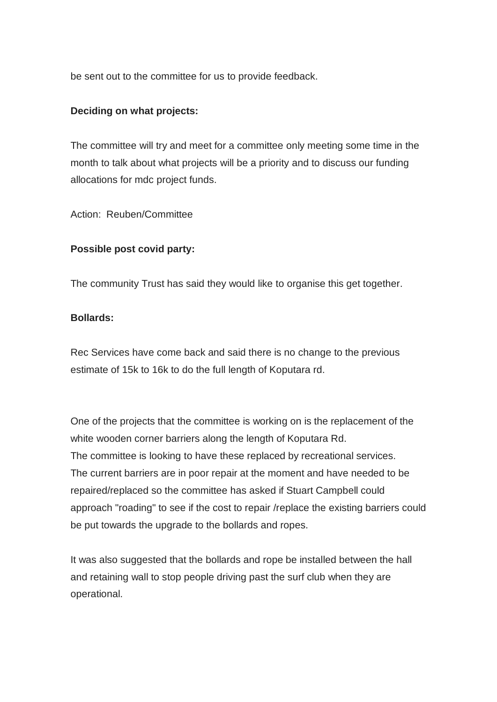be sent out to the committee for us to provide feedback.

#### **Deciding on what projects:**

The committee will try and meet for a committee only meeting some time in the month to talk about what projects will be a priority and to discuss our funding allocations for mdc project funds.

Action: Reuben/Committee

#### **Possible post covid party:**

The community Trust has said they would like to organise this get together.

#### **Bollards:**

Rec Services have come back and said there is no change to the previous estimate of 15k to 16k to do the full length of Koputara rd.

One of the projects that the committee is working on is the replacement of the white wooden corner barriers along the length of Koputara Rd. The committee is looking to have these replaced by recreational services. The current barriers are in poor repair at the moment and have needed to be repaired/replaced so the committee has asked if Stuart Campbell could approach "roading" to see if the cost to repair /replace the existing barriers could be put towards the upgrade to the bollards and ropes.

It was also suggested that the bollards and rope be installed between the hall and retaining wall to stop people driving past the surf club when they are operational.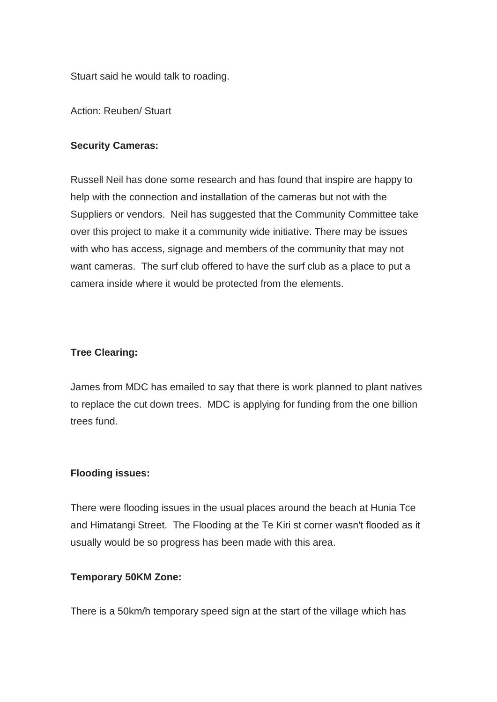Stuart said he would talk to roading.

Action: Reuben/ Stuart

#### **Security Cameras:**

Russell Neil has done some research and has found that inspire are happy to help with the connection and installation of the cameras but not with the Suppliers or vendors. Neil has suggested that the Community Committee take over this project to make it a community wide initiative. There may be issues with who has access, signage and members of the community that may not want cameras. The surf club offered to have the surf club as a place to put a camera inside where it would be protected from the elements.

#### **Tree Clearing:**

James from MDC has emailed to say that there is work planned to plant natives to replace the cut down trees. MDC is applying for funding from the one billion trees fund.

#### **Flooding issues:**

There were flooding issues in the usual places around the beach at Hunia Tce and Himatangi Street. The Flooding at the Te Kiri st corner wasn't flooded as it usually would be so progress has been made with this area.

#### **Temporary 50KM Zone:**

There is a 50km/h temporary speed sign at the start of the village which has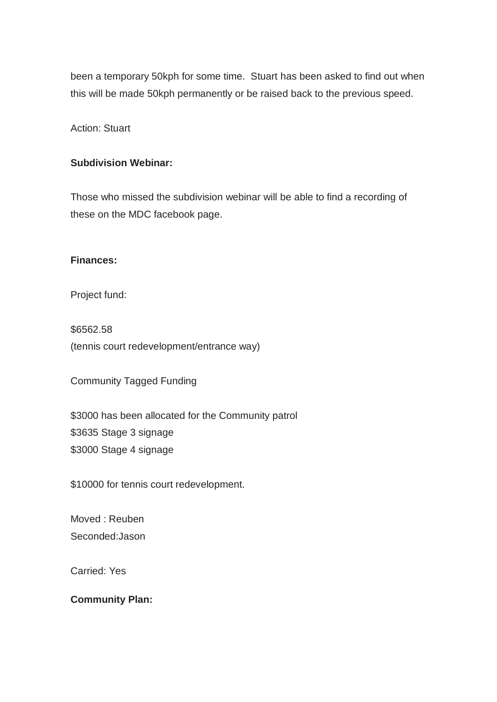been a temporary 50kph for some time. Stuart has been asked to find out when this will be made 50kph permanently or be raised back to the previous speed.

Action: Stuart

#### **Subdivision Webinar:**

Those who missed the subdivision webinar will be able to find a recording of these on the MDC facebook page.

#### **Finances:**

Project fund:

\$6562.58 (tennis court redevelopment/entrance way)

Community Tagged Funding

\$3000 has been allocated for the Community patrol \$3635 Stage 3 signage \$3000 Stage 4 signage

\$10000 for tennis court redevelopment.

Moved : Reuben Seconded:Jason

Carried: Yes

**Community Plan:**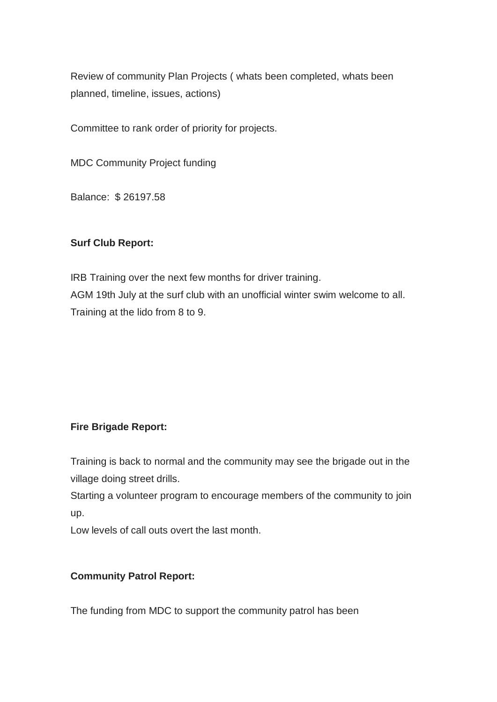Review of community Plan Projects ( whats been completed, whats been planned, timeline, issues, actions)

Committee to rank order of priority for projects.

MDC Community Project funding

Balance: \$ 26197.58

#### **Surf Club Report:**

IRB Training over the next few months for driver training. AGM 19th July at the surf club with an unofficial winter swim welcome to all. Training at the lido from 8 to 9.

#### **Fire Brigade Report:**

Training is back to normal and the community may see the brigade out in the village doing street drills.

Starting a volunteer program to encourage members of the community to join up.

Low levels of call outs overt the last month.

#### **Community Patrol Report:**

The funding from MDC to support the community patrol has been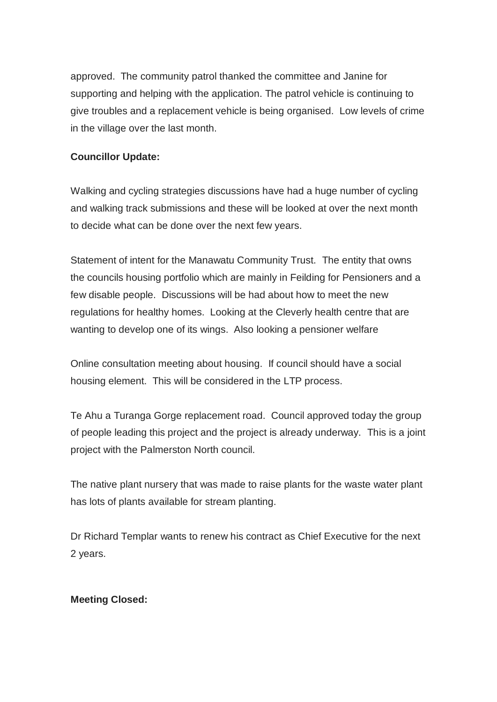approved. The community patrol thanked the committee and Janine for supporting and helping with the application. The patrol vehicle is continuing to give troubles and a replacement vehicle is being organised. Low levels of crime in the village over the last month.

#### **Councillor Update:**

Walking and cycling strategies discussions have had a huge number of cycling and walking track submissions and these will be looked at over the next month to decide what can be done over the next few years.

Statement of intent for the Manawatu Community Trust. The entity that owns the councils housing portfolio which are mainly in Feilding for Pensioners and a few disable people. Discussions will be had about how to meet the new regulations for healthy homes. Looking at the Cleverly health centre that are wanting to develop one of its wings. Also looking a pensioner welfare

Online consultation meeting about housing. If council should have a social housing element. This will be considered in the LTP process.

Te Ahu a Turanga Gorge replacement road. Council approved today the group of people leading this project and the project is already underway. This is a joint project with the Palmerston North council.

The native plant nursery that was made to raise plants for the waste water plant has lots of plants available for stream planting.

Dr Richard Templar wants to renew his contract as Chief Executive for the next 2 years.

#### **Meeting Closed:**